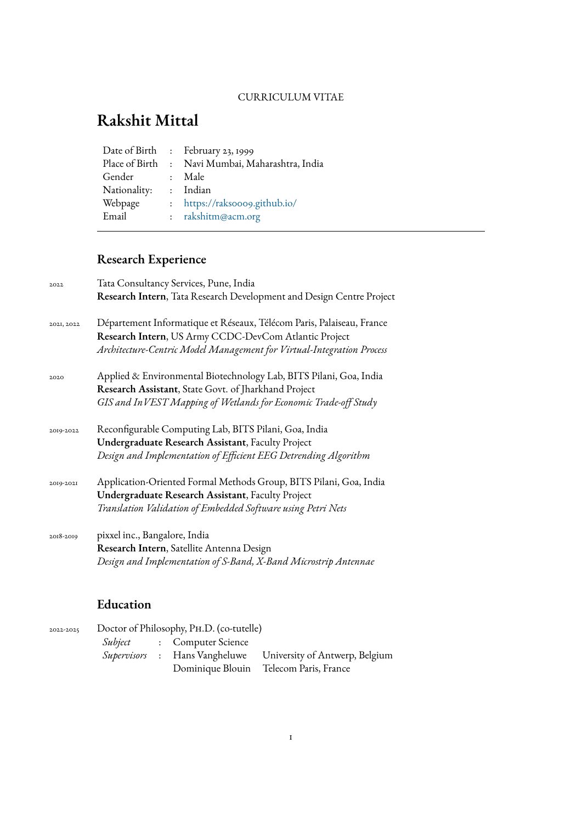#### CURRICULUM VITAE

# **Rakshit Mittal**

|              | Date of Birth : February 23, 1999                |
|--------------|--------------------------------------------------|
|              | Place of Birth : Navi Mumbai, Maharashtra, India |
| Gender       | : Male                                           |
| Nationality: | : Indian                                         |
| Webpage      | : https://raksooo9.github.io/                    |
| Email        | : rakshitm@acm.org                               |
|              |                                                  |

# **Research Experience**

| 2022       | Tata Consultancy Services, Pune, India                                                                                                                                                                  |
|------------|---------------------------------------------------------------------------------------------------------------------------------------------------------------------------------------------------------|
|            | Research Intern, Tata Research Development and Design Centre Project                                                                                                                                    |
| 2021, 2022 | Département Informatique et Réseaux, Télécom Paris, Palaiseau, France<br>Research Intern, US Army CCDC-DevCom Atlantic Project<br>Architecture-Centric Model Management for Virtual-Integration Process |
| 2020       | Applied & Environmental Biotechnology Lab, BITS Pilani, Goa, India<br>Research Assistant, State Govt. of Jharkhand Project<br>GIS and InVEST Mapping of Wetlands for Economic Trade-off Study           |
| 2019-2022  | Reconfigurable Computing Lab, BITS Pilani, Goa, India<br><b>Undergraduate Research Assistant</b> , Faculty Project<br>Design and Implementation of Efficient EEG Detrending Algorithm                   |
| 2019-2021  | Application-Oriented Formal Methods Group, BITS Pilani, Goa, India<br><b>Undergraduate Research Assistant</b> , Faculty Project<br>Translation Validation of Embedded Software using Petri Nets         |
| 2018-2019  | pixxel inc., Bangalore, India<br>Research Intern, Satellite Antenna Design<br>Design and Implementation of S-Band, X-Band Microstrip Antennae                                                           |
|            |                                                                                                                                                                                                         |

## **Education**

| 2022-2025 | Doctor of Philosophy, PH.D. (co-tutelle) |  |                                   |                                                              |  |
|-----------|------------------------------------------|--|-----------------------------------|--------------------------------------------------------------|--|
|           |                                          |  | <i>Subject</i> : Computer Science |                                                              |  |
|           |                                          |  |                                   | Supervisors : Hans Vangheluwe University of Antwerp, Belgium |  |
|           |                                          |  |                                   | Dominique Blouin Telecom Paris, France                       |  |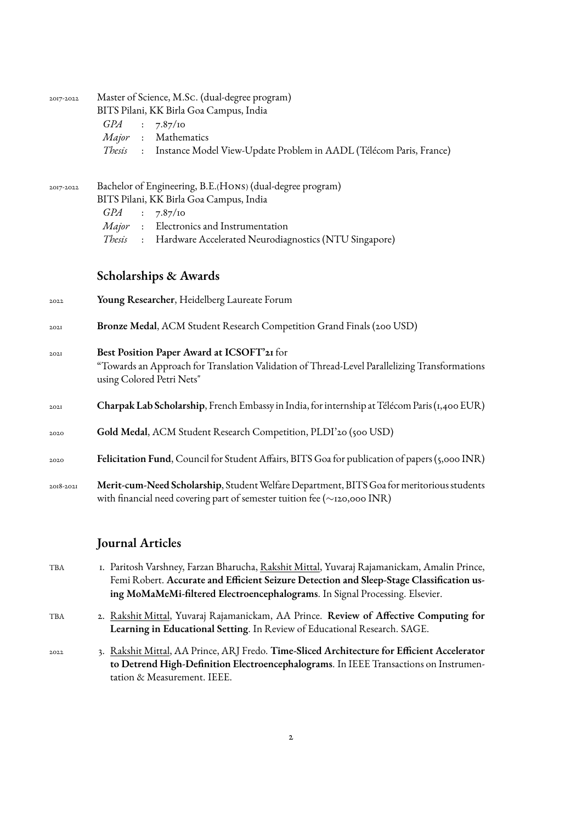| 2017-2022 | Master of Science, M.Sc. (dual-degree program)<br>BITS Pilani, KK Birla Goa Campus, India<br><i>GPA</i><br>7.87/10<br>$\sim$ :<br>Major : Mathematics<br>Thesis<br>: Instance Model View-Update Problem in AADL (Télécom Paris, France)                                  |  |  |  |  |
|-----------|--------------------------------------------------------------------------------------------------------------------------------------------------------------------------------------------------------------------------------------------------------------------------|--|--|--|--|
| 2017-2022 | Bachelor of Engineering, B.E.(HONS) (dual-degree program)<br>BITS Pilani, KK Birla Goa Campus, India<br>7.87/10<br>GPA<br>$\ddot{\cdot}$<br>Major : Electronics and Instrumentation<br>Thesis<br>Hardware Accelerated Neurodiagnostics (NTU Singapore)<br>$\ddot{\cdot}$ |  |  |  |  |
|           | Scholarships & Awards                                                                                                                                                                                                                                                    |  |  |  |  |
| 2022      | Young Researcher, Heidelberg Laureate Forum                                                                                                                                                                                                                              |  |  |  |  |
| 202I      | Bronze Medal, ACM Student Research Competition Grand Finals (200 USD)                                                                                                                                                                                                    |  |  |  |  |
| 202I      | Best Position Paper Award at ICSOFT'21 for<br>"Towards an Approach for Translation Validation of Thread-Level Parallelizing Transformations<br>using Colored Petri Nets"                                                                                                 |  |  |  |  |
| 202I      | Charpak Lab Scholarship, French Embassy in India, for internship at Télécom Paris (1,400 EUR)                                                                                                                                                                            |  |  |  |  |
| 2020      | Gold Medal, ACM Student Research Competition, PLDI'20 (500 USD)                                                                                                                                                                                                          |  |  |  |  |
| 2020      | Felicitation Fund, Council for Student Affairs, BITS Goa for publication of papers (5,000 INR)                                                                                                                                                                           |  |  |  |  |
| 2018-2021 | Merit-cum-Need Scholarship, Student Welfare Department, BITS Goa for meritorious students<br>with financial need covering part of semester tuition fee (~120,000 INR)                                                                                                    |  |  |  |  |
|           | <b>Journal Articles</b>                                                                                                                                                                                                                                                  |  |  |  |  |
| TBA       | I. Paritosh Varshney, Farzan Bharucha, Rakshit Mittal, Yuvaraj Rajamanickam, Amalin Prince,<br>Femi Robert. Accurate and Efficient Seizure Detection and Sleep-Stage Classification us-<br>ing MoMaMeMi-filtered Electroencephalograms. In Signal Processing. Elsevier.  |  |  |  |  |
| TBA       | 2. Rakshit Mittal, Yuvaraj Rajamanickam, AA Prince. Review of Affective Computing for<br>Learning in Educational Setting. In Review of Educational Research. SAGE.                                                                                                       |  |  |  |  |
|           | Rakshit Mittal, A.A. Prince, A.R.I. Fredo, Time-Sliced Architecture for Efficient Accelerator                                                                                                                                                                            |  |  |  |  |

2022 3. Rakshit Mittal, AA Prince, ARJ Fredo. **Time-Sliced Architecture for Efficient Accelerator to Detrend High-Definition Electroencephalograms**. In IEEE Transactions on Instrumentation & Measurement. IEEE.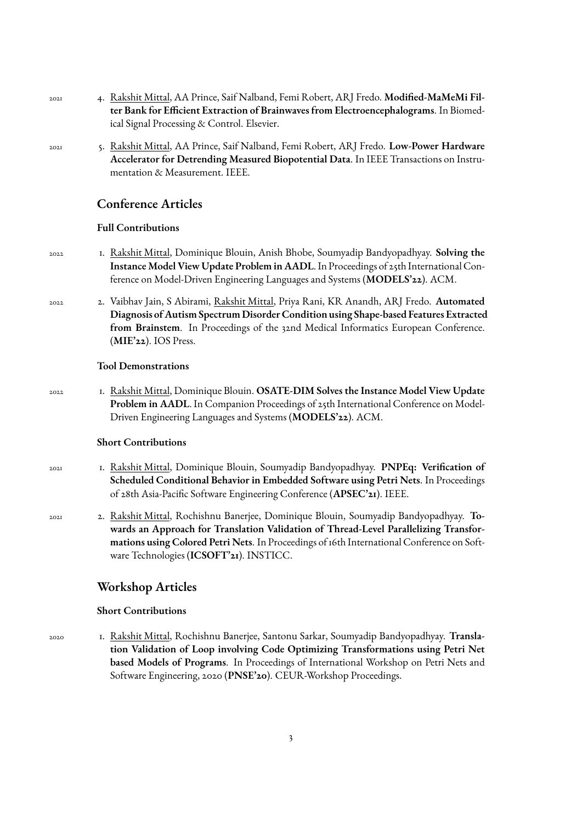- 2021 4. Rakshit Mittal, AA Prince, Saif Nalband, Femi Robert, ARJ Fredo. **Modified-MaMeMi Filter Bank for Efficient Extraction of Brainwaves from Electroencephalograms**. In Biomedical Signal Processing & Control. Elsevier.
- 2021 5. Rakshit Mittal, AA Prince, Saif Nalband, Femi Robert, ARJ Fredo. **Low-Power Hardware Accelerator for Detrending Measured Biopotential Data**. In IEEE Transactions on Instrumentation & Measurement. IEEE.

#### **Conference Articles**

#### **Full Contributions**

- 2022 1. Rakshit Mittal, Dominique Blouin, Anish Bhobe, Soumyadip Bandyopadhyay. **Solving the Instance Model View Update Problem in AADL**. In Proceedings of 25th International Conference on Model-Driven Engineering Languages and Systems (**MODELS'22**). ACM.
- 2022 2. Vaibhav Jain, S Abirami, Rakshit Mittal, Priya Rani, KR Anandh, ARJ Fredo. **Automated Diagnosis of Autism Spectrum Disorder Condition using Shape-based Features Extracted** from Brainstem. In Proceedings of the 32nd Medical Informatics European Conference. (**MIE'22**). IOS Press.

#### **Tool Demonstrations**

2022 1. Rakshit Mittal, Dominique Blouin. **OSATE-DIM Solves the Instance Model View Update Problem in AADL**. In Companion Proceedings of 25th International Conference on Model-Driven Engineering Languages and Systems (**MODELS'22**). ACM.

#### **Short Contributions**

- 2021 1. Rakshit Mittal, Dominique Blouin, Soumyadip Bandyopadhyay. **PNPEq: Verification of Scheduled Conditional Behavior in Embedded Software using Petri Nets**. In Proceedings of 28th Asia-Pacific Software Engineering Conference (**APSEC'21**). IEEE.
- 2021 2. Rakshit Mittal, Rochishnu Banerjee, Dominique Blouin, Soumyadip Bandyopadhyay. **Towards an Approach for Translation Validation of Thread-Level Parallelizing Transformations using Colored Petri Nets**. In Proceedings of 16th International Conference on Software Technologies (**ICSOFT'21**). INSTICC.

### **Workshop Articles**

#### **Short Contributions**

2020 1. Rakshit Mittal, Rochishnu Banerjee, Santonu Sarkar, Soumyadip Bandyopadhyay. **Translation Validation of Loop involving Code Optimizing Transformations using Petri Net based Models of Programs**. In Proceedings of International Workshop on Petri Nets and Software Engineering, 2020 (**PNSE'20**). CEUR-Workshop Proceedings.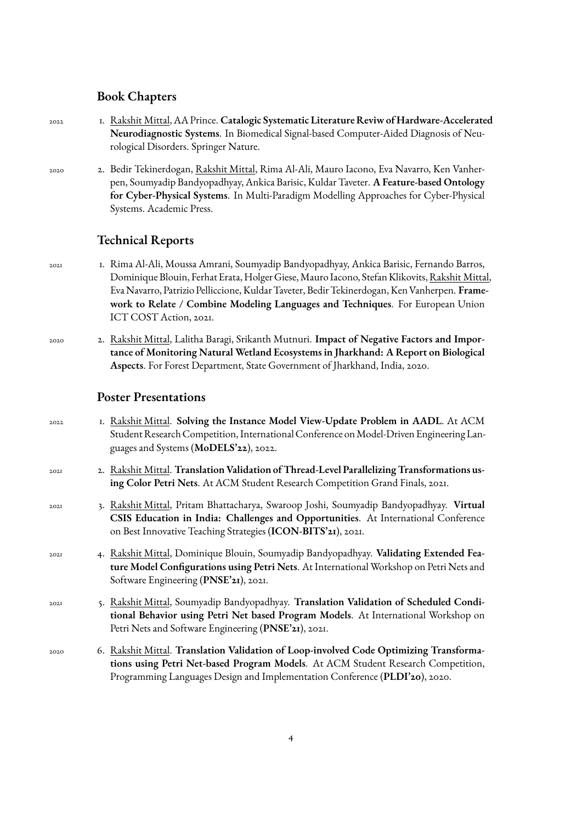## **Book Chapters**

| 2022        | I. Rakshit Mittal, AA Prince. Catalogic Systematic Literature Reviw of Hardware-Accelerated<br>Neurodiagnostic Systems. In Biomedical Signal-based Computer-Aided Diagnosis of Neu-<br>rological Disorders. Springer Nature.                                                                                                                                                                          |
|-------------|-------------------------------------------------------------------------------------------------------------------------------------------------------------------------------------------------------------------------------------------------------------------------------------------------------------------------------------------------------------------------------------------------------|
| 2020        | 2.  Bedir Tekinerdogan, <u>Rakshit Mittal</u> , Rima Al-Ali, Mauro Iacono, Eva Navarro, Ken Vanher-<br>pen, Soumyadip Bandyopadhyay, Ankica Barisic, Kuldar Taveter. A Feature-based Ontology<br>for Cyber-Physical Systems. In Multi-Paradigm Modelling Approaches for Cyber-Physical<br>Systems. Academic Press.                                                                                    |
|             | <b>Technical Reports</b>                                                                                                                                                                                                                                                                                                                                                                              |
| 202I        | 1. Rima Al-Ali, Moussa Amrani, Soumyadip Bandyopadhyay, Ankica Barisic, Fernando Barros,<br>Dominique Blouin, Ferhat Erata, Holger Giese, Mauro Iacono, Stefan Klikovits, Rakshit Mittal,<br>Eva Navarro, Patrizio Pelliccione, Kuldar Taveter, Bedir Tekinerdogan, Ken Vanherpen. Frame-<br>work to Relate / Combine Modeling Languages and Techniques. For European Union<br>ICT COST Action, 2021. |
| 2020        | 2. Rakshit Mittal, Lalitha Baragi, Srikanth Mutnuri. Impact of Negative Factors and Impor-<br>tance of Monitoring Natural Wetland Ecosystems in Jharkhand: A Report on Biological<br>Aspects. For Forest Department, State Government of Jharkhand, India, 2020.                                                                                                                                      |
|             | <b>Poster Presentations</b>                                                                                                                                                                                                                                                                                                                                                                           |
| 2022        | I. Rakshit Mittal. Solving the Instance Model View-Update Problem in AADL. At ACM<br>Student Research Competition, International Conference on Model-Driven Engineering Lan-<br>guages and Systems (MoDELS'22), 2022.                                                                                                                                                                                 |
| 202I        | 2. Rakshit Mittal. Translation Validation of Thread-Level Parallelizing Transformations us-<br>ing Color Petri Nets. At ACM Student Research Competition Grand Finals, 2021.                                                                                                                                                                                                                          |
| 202I        | 3. Rakshit Mittal, Pritam Bhattacharya, Swaroop Joshi, Soumyadip Bandyopadhyay. Virtual<br>CSIS Education in India: Challenges and Opportunities. At International Conference<br>on Best Innovative Teaching Strategies (ICON-BITS'21), 2021.                                                                                                                                                         |
| <b>2021</b> | 4. Rakshit Mittal, Dominique Blouin, Soumyadip Bandyopadhyay. Validating Extended Fea-<br>ture Model Configurations using Petri Nets. At International Workshop on Petri Nets and<br>Software Engineering (PNSE'21), 2021.                                                                                                                                                                            |
| 202I        | 5. Rakshit Mittal, Soumyadip Bandyopadhyay. Translation Validation of Scheduled Condi-<br>tional Behavior using Petri Net based Program Models. At International Workshop on<br>Petri Nets and Software Engineering (PNSE'21), 2021.                                                                                                                                                                  |
| 2020        | 6. Rakshit Mittal. Translation Validation of Loop-involved Code Optimizing Transforma-<br>tions using Petri Net-based Program Models. At ACM Student Research Competition,<br>Programming Languages Design and Implementation Conference (PLDI'20), 2020.                                                                                                                                             |